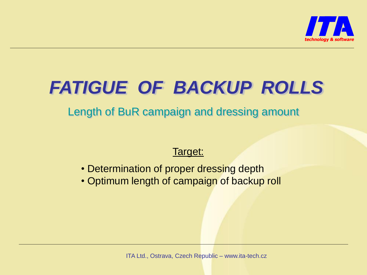

# *FATIGUE OF BACKUP ROLLS*

Length of BuR campaign and dressing amount

#### Target:

- Determination of proper dressing depth
- Optimum length of campaign of backup roll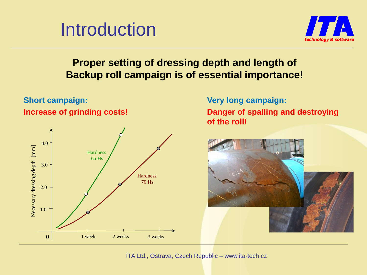



#### **Proper setting of dressing depth and length of Backup roll campaign is of essential importance!**



**Short campaign:**

**Very long campaign: Danger of spalling and destroying of the roll!**

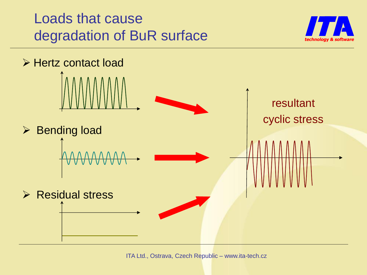### Loads that cause degradation of BuR surface



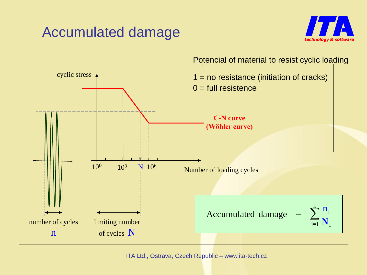### Accumulated damage



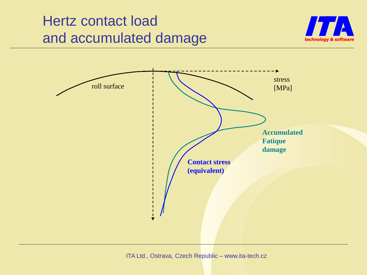### Hertz contact load and accumulated damage



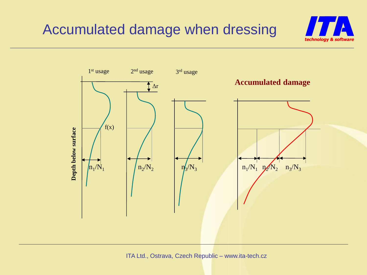



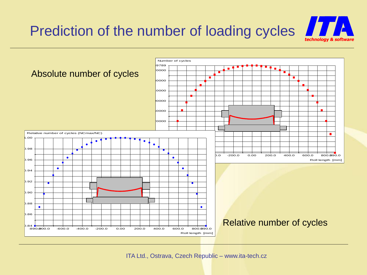

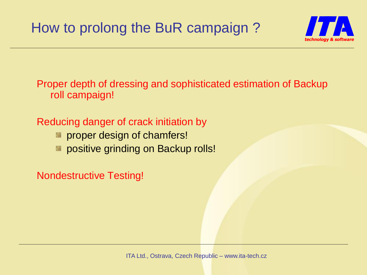

Proper depth of dressing and sophisticated estimation of Backup roll campaign!

### Reducing danger of crack initiation by

- **EX proper design of chamfers!**
- **EX positive grinding on Backup rolls!**

Nondestructive Testing!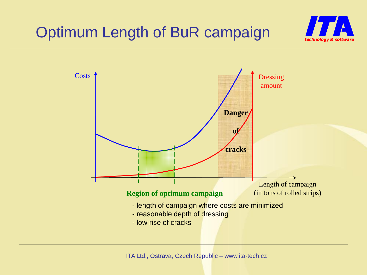

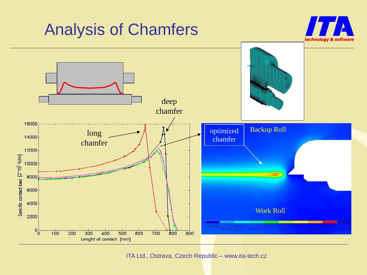

ITA Ltd., Ostrava, Czech Republic – www.ita-tech.cz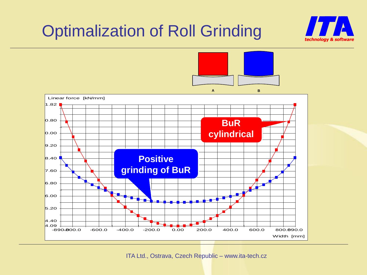# Optimalization of Roll Grinding



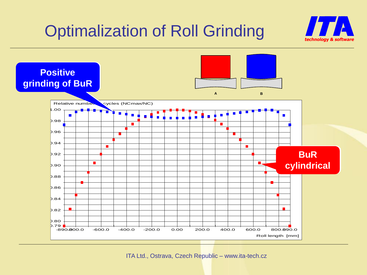# Optimalization of Roll Grinding



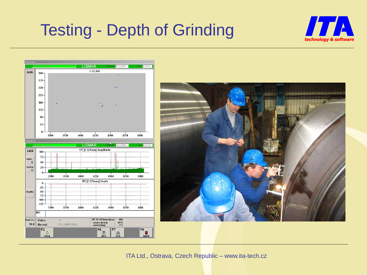# Testing - Depth of Grinding





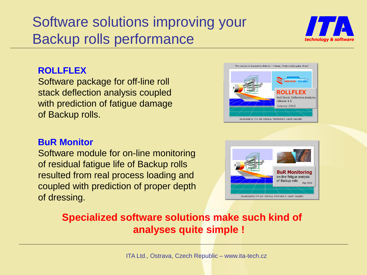### Software solutions improving your Backup rolls performance



#### **ROLLFLEX**

Software package for off-line roll stack deflection analysis coupled with prediction of fatigue damage of Backup rolls.

#### **BuR Monitor**

Software module for on-line monitoring of residual fatigue life of Backup rolls resulted from real process loading and coupled with prediction of proper depth of dressing.





### **Specialized software solutions make such kind of analyses quite simple !**